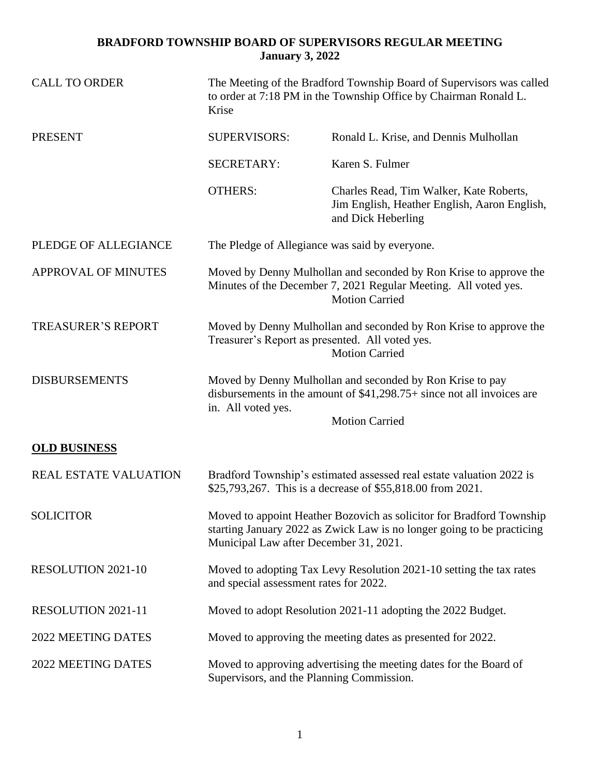## **BRADFORD TOWNSHIP BOARD OF SUPERVISORS REGULAR MEETING January 3, 2022**

| <b>CALL TO ORDER</b>         | The Meeting of the Bradford Township Board of Supervisors was called<br>to order at 7:18 PM in the Township Office by Chairman Ronald L.<br>Krise                                        |                                                                                                                                                               |
|------------------------------|------------------------------------------------------------------------------------------------------------------------------------------------------------------------------------------|---------------------------------------------------------------------------------------------------------------------------------------------------------------|
| <b>PRESENT</b>               | <b>SUPERVISORS:</b>                                                                                                                                                                      | Ronald L. Krise, and Dennis Mulhollan                                                                                                                         |
|                              | <b>SECRETARY:</b>                                                                                                                                                                        | Karen S. Fulmer                                                                                                                                               |
|                              | <b>OTHERS:</b>                                                                                                                                                                           | Charles Read, Tim Walker, Kate Roberts,<br>Jim English, Heather English, Aaron English,<br>and Dick Heberling                                                 |
| PLEDGE OF ALLEGIANCE         | The Pledge of Allegiance was said by everyone.                                                                                                                                           |                                                                                                                                                               |
| APPROVAL OF MINUTES          |                                                                                                                                                                                          | Moved by Denny Mulhollan and seconded by Ron Krise to approve the<br>Minutes of the December 7, 2021 Regular Meeting. All voted yes.<br><b>Motion Carried</b> |
| <b>TREASURER'S REPORT</b>    | Moved by Denny Mulhollan and seconded by Ron Krise to approve the<br>Treasurer's Report as presented. All voted yes.<br><b>Motion Carried</b>                                            |                                                                                                                                                               |
| <b>DISBURSEMENTS</b>         | in. All voted yes.                                                                                                                                                                       | Moved by Denny Mulhollan and seconded by Ron Krise to pay<br>disbursements in the amount of $$41,298.75+$ since not all invoices are<br><b>Motion Carried</b> |
| <b>OLD BUSINESS</b>          |                                                                                                                                                                                          |                                                                                                                                                               |
| <b>REAL ESTATE VALUATION</b> | Bradford Township's estimated assessed real estate valuation 2022 is<br>\$25,793,267. This is a decrease of \$55,818.00 from 2021.                                                       |                                                                                                                                                               |
| <b>SOLICITOR</b>             | Moved to appoint Heather Bozovich as solicitor for Bradford Township<br>starting January 2022 as Zwick Law is no longer going to be practicing<br>Municipal Law after December 31, 2021. |                                                                                                                                                               |
| <b>RESOLUTION 2021-10</b>    | Moved to adopting Tax Levy Resolution 2021-10 setting the tax rates<br>and special assessment rates for 2022.                                                                            |                                                                                                                                                               |
| RESOLUTION 2021-11           | Moved to adopt Resolution 2021-11 adopting the 2022 Budget.                                                                                                                              |                                                                                                                                                               |
| 2022 MEETING DATES           | Moved to approving the meeting dates as presented for 2022.                                                                                                                              |                                                                                                                                                               |
| 2022 MEETING DATES           | Moved to approving advertising the meeting dates for the Board of<br>Supervisors, and the Planning Commission.                                                                           |                                                                                                                                                               |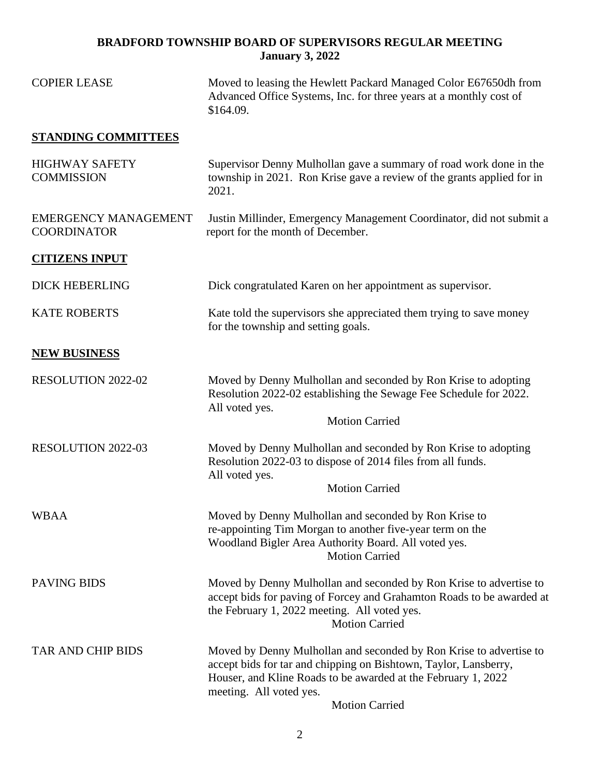## **BRADFORD TOWNSHIP BOARD OF SUPERVISORS REGULAR MEETING January 3, 2022**

| <b>COPIER LEASE</b>                               | Moved to leasing the Hewlett Packard Managed Color E67650dh from<br>Advanced Office Systems, Inc. for three years at a monthly cost of<br>\$164.09.                                                                                                         |  |
|---------------------------------------------------|-------------------------------------------------------------------------------------------------------------------------------------------------------------------------------------------------------------------------------------------------------------|--|
| <b>STANDING COMMITTEES</b>                        |                                                                                                                                                                                                                                                             |  |
| <b>HIGHWAY SAFETY</b><br><b>COMMISSION</b>        | Supervisor Denny Mulhollan gave a summary of road work done in the<br>township in 2021. Ron Krise gave a review of the grants applied for in<br>2021.                                                                                                       |  |
| <b>EMERGENCY MANAGEMENT</b><br><b>COORDINATOR</b> | Justin Millinder, Emergency Management Coordinator, did not submit a<br>report for the month of December.                                                                                                                                                   |  |
| <b>CITIZENS INPUT</b>                             |                                                                                                                                                                                                                                                             |  |
| <b>DICK HEBERLING</b>                             | Dick congratulated Karen on her appointment as supervisor.                                                                                                                                                                                                  |  |
| <b>KATE ROBERTS</b>                               | Kate told the supervisors she appreciated them trying to save money<br>for the township and setting goals.                                                                                                                                                  |  |
| <b>NEW BUSINESS</b>                               |                                                                                                                                                                                                                                                             |  |
| <b>RESOLUTION 2022-02</b>                         | Moved by Denny Mulhollan and seconded by Ron Krise to adopting<br>Resolution 2022-02 establishing the Sewage Fee Schedule for 2022.<br>All voted yes.<br><b>Motion Carried</b>                                                                              |  |
| <b>RESOLUTION 2022-03</b>                         | Moved by Denny Mulhollan and seconded by Ron Krise to adopting<br>Resolution 2022-03 to dispose of 2014 files from all funds.<br>All voted yes.<br><b>Motion Carried</b>                                                                                    |  |
| <b>WBAA</b>                                       | Moved by Denny Mulhollan and seconded by Ron Krise to<br>re-appointing Tim Morgan to another five-year term on the<br>Woodland Bigler Area Authority Board. All voted yes.<br><b>Motion Carried</b>                                                         |  |
| <b>PAVING BIDS</b>                                | Moved by Denny Mulhollan and seconded by Ron Krise to advertise to<br>accept bids for paving of Forcey and Grahamton Roads to be awarded at<br>the February 1, 2022 meeting. All voted yes.<br><b>Motion Carried</b>                                        |  |
| TAR AND CHIP BIDS                                 | Moved by Denny Mulhollan and seconded by Ron Krise to advertise to<br>accept bids for tar and chipping on Bishtown, Taylor, Lansberry,<br>Houser, and Kline Roads to be awarded at the February 1, 2022<br>meeting. All voted yes.<br><b>Motion Carried</b> |  |